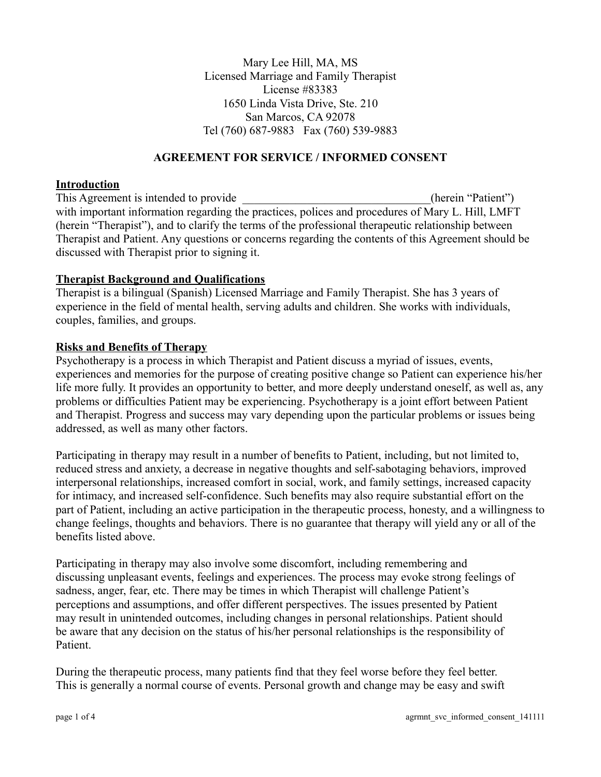Mary Lee Hill, MA, MS Licensed Marriage and Family Therapist License #83383 1650 Linda Vista Drive, Ste. 210 San Marcos, CA 92078 Tel (760) 687-9883 Fax (760) 539-9883

#### **AGREEMENT FOR SERVICE / INFORMED CONSENT**

#### **Introduction**

This Agreement is intended to provide the contract of the contract of the contract of the contract of the contract of the contract of the contract of the contract of the contract of the contract of the contract of the cont with important information regarding the practices, polices and procedures of Mary L. Hill, LMFT (herein "Therapist"), and to clarify the terms of the professional therapeutic relationship between Therapist and Patient. Any questions or concerns regarding the contents of this Agreement should be discussed with Therapist prior to signing it.

#### **Therapist Background and Qualifications**

Therapist is a bilingual (Spanish) Licensed Marriage and Family Therapist. She has 3 years of experience in the field of mental health, serving adults and children. She works with individuals, couples, families, and groups.

#### **Risks and Benefits of Therapy**

Psychotherapy is a process in which Therapist and Patient discuss a myriad of issues, events, experiences and memories for the purpose of creating positive change so Patient can experience his/her life more fully. It provides an opportunity to better, and more deeply understand oneself, as well as, any problems or difficulties Patient may be experiencing. Psychotherapy is a joint effort between Patient and Therapist. Progress and success may vary depending upon the particular problems or issues being addressed, as well as many other factors.

Participating in therapy may result in a number of benefits to Patient, including, but not limited to, reduced stress and anxiety, a decrease in negative thoughts and self-sabotaging behaviors, improved interpersonal relationships, increased comfort in social, work, and family settings, increased capacity for intimacy, and increased self-confidence. Such benefits may also require substantial effort on the part of Patient, including an active participation in the therapeutic process, honesty, and a willingness to change feelings, thoughts and behaviors. There is no guarantee that therapy will yield any or all of the benefits listed above.

Participating in therapy may also involve some discomfort, including remembering and discussing unpleasant events, feelings and experiences. The process may evoke strong feelings of sadness, anger, fear, etc. There may be times in which Therapist will challenge Patient's perceptions and assumptions, and offer different perspectives. The issues presented by Patient may result in unintended outcomes, including changes in personal relationships. Patient should be aware that any decision on the status of his/her personal relationships is the responsibility of Patient.

During the therapeutic process, many patients find that they feel worse before they feel better. This is generally a normal course of events. Personal growth and change may be easy and swift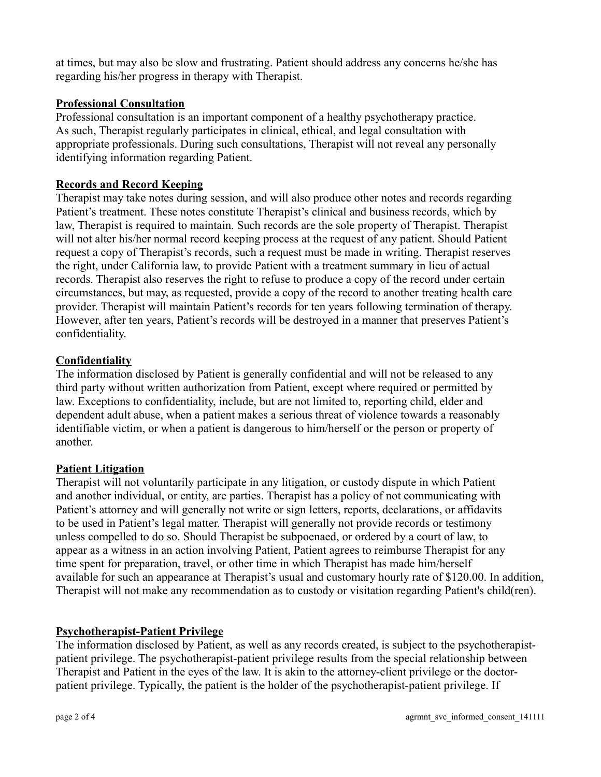at times, but may also be slow and frustrating. Patient should address any concerns he/she has regarding his/her progress in therapy with Therapist.

## **Professional Consultation**

Professional consultation is an important component of a healthy psychotherapy practice. As such, Therapist regularly participates in clinical, ethical, and legal consultation with appropriate professionals. During such consultations, Therapist will not reveal any personally identifying information regarding Patient.

# **Records and Record Keeping**

Therapist may take notes during session, and will also produce other notes and records regarding Patient's treatment. These notes constitute Therapist's clinical and business records, which by law, Therapist is required to maintain. Such records are the sole property of Therapist. Therapist will not alter his/her normal record keeping process at the request of any patient. Should Patient request a copy of Therapist's records, such a request must be made in writing. Therapist reserves the right, under California law, to provide Patient with a treatment summary in lieu of actual records. Therapist also reserves the right to refuse to produce a copy of the record under certain circumstances, but may, as requested, provide a copy of the record to another treating health care provider. Therapist will maintain Patient's records for ten years following termination of therapy. However, after ten years, Patient's records will be destroyed in a manner that preserves Patient's confidentiality.

## **Confidentiality**

The information disclosed by Patient is generally confidential and will not be released to any third party without written authorization from Patient, except where required or permitted by law. Exceptions to confidentiality, include, but are not limited to, reporting child, elder and dependent adult abuse, when a patient makes a serious threat of violence towards a reasonably identifiable victim, or when a patient is dangerous to him/herself or the person or property of another.

## **Patient Litigation**

Therapist will not voluntarily participate in any litigation, or custody dispute in which Patient and another individual, or entity, are parties. Therapist has a policy of not communicating with Patient's attorney and will generally not write or sign letters, reports, declarations, or affidavits to be used in Patient's legal matter. Therapist will generally not provide records or testimony unless compelled to do so. Should Therapist be subpoenaed, or ordered by a court of law, to appear as a witness in an action involving Patient, Patient agrees to reimburse Therapist for any time spent for preparation, travel, or other time in which Therapist has made him/herself available for such an appearance at Therapist's usual and customary hourly rate of \$120.00. In addition, Therapist will not make any recommendation as to custody or visitation regarding Patient's child(ren).

## **Psychotherapist-Patient Privilege**

The information disclosed by Patient, as well as any records created, is subject to the psychotherapistpatient privilege. The psychotherapist-patient privilege results from the special relationship between Therapist and Patient in the eyes of the law. It is akin to the attorney-client privilege or the doctorpatient privilege. Typically, the patient is the holder of the psychotherapist-patient privilege. If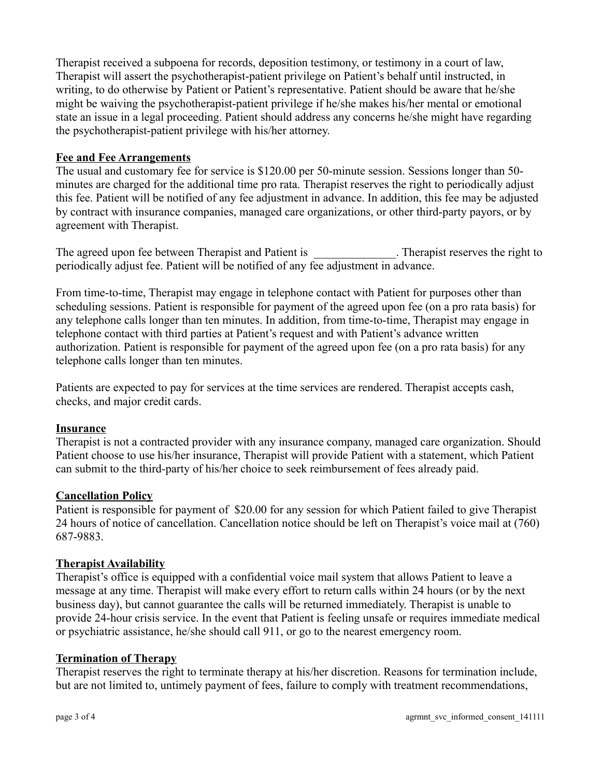Therapist received a subpoena for records, deposition testimony, or testimony in a court of law, Therapist will assert the psychotherapist-patient privilege on Patient's behalf until instructed, in writing, to do otherwise by Patient or Patient's representative. Patient should be aware that he/she might be waiving the psychotherapist-patient privilege if he/she makes his/her mental or emotional state an issue in a legal proceeding. Patient should address any concerns he/she might have regarding the psychotherapist-patient privilege with his/her attorney.

#### **Fee and Fee Arrangements**

The usual and customary fee for service is \$120.00 per 50-minute session. Sessions longer than 50 minutes are charged for the additional time pro rata. Therapist reserves the right to periodically adjust this fee. Patient will be notified of any fee adjustment in advance. In addition, this fee may be adjusted by contract with insurance companies, managed care organizations, or other third-party payors, or by agreement with Therapist.

The agreed upon fee between Therapist and Patient is \_\_\_\_\_\_\_\_\_\_\_\_\_. Therapist reserves the right to periodically adjust fee. Patient will be notified of any fee adjustment in advance.

From time-to-time, Therapist may engage in telephone contact with Patient for purposes other than scheduling sessions. Patient is responsible for payment of the agreed upon fee (on a pro rata basis) for any telephone calls longer than ten minutes. In addition, from time-to-time, Therapist may engage in telephone contact with third parties at Patient's request and with Patient's advance written authorization. Patient is responsible for payment of the agreed upon fee (on a pro rata basis) for any telephone calls longer than ten minutes.

Patients are expected to pay for services at the time services are rendered. Therapist accepts cash, checks, and major credit cards.

## **Insurance**

Therapist is not a contracted provider with any insurance company, managed care organization. Should Patient choose to use his/her insurance, Therapist will provide Patient with a statement, which Patient can submit to the third-party of his/her choice to seek reimbursement of fees already paid.

## **Cancellation Policy**

Patient is responsible for payment of \$20.00 for any session for which Patient failed to give Therapist 24 hours of notice of cancellation. Cancellation notice should be left on Therapist's voice mail at (760) 687-9883.

## **Therapist Availability**

Therapist's office is equipped with a confidential voice mail system that allows Patient to leave a message at any time. Therapist will make every effort to return calls within 24 hours (or by the next business day), but cannot guarantee the calls will be returned immediately. Therapist is unable to provide 24-hour crisis service. In the event that Patient is feeling unsafe or requires immediate medical or psychiatric assistance, he/she should call 911, or go to the nearest emergency room.

## **Termination of Therapy**

Therapist reserves the right to terminate therapy at his/her discretion. Reasons for termination include, but are not limited to, untimely payment of fees, failure to comply with treatment recommendations,